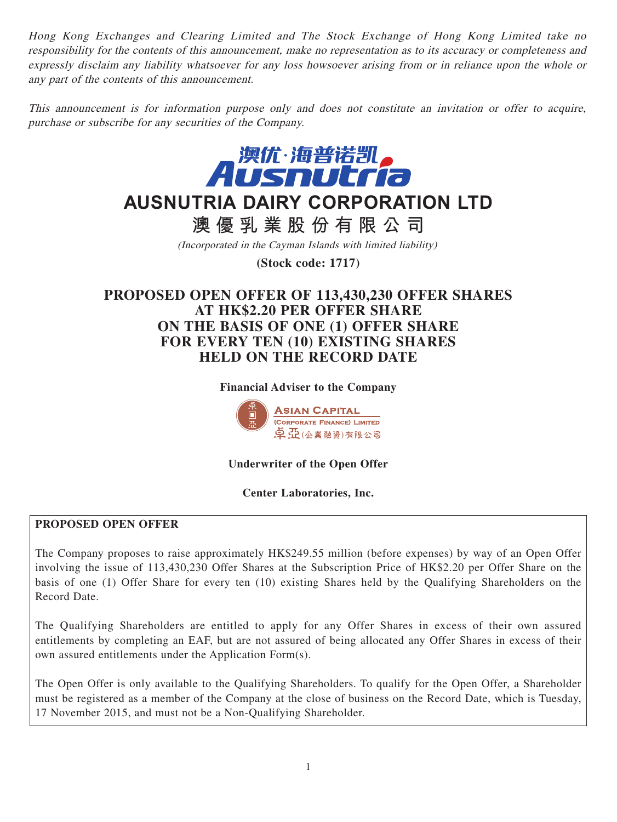Hong Kong Exchanges and Clearing Limited and The Stock Exchange of Hong Kong Limited take no responsibility for the contents of this announcement, make no representation as to its accuracy or completeness and expressly disclaim any liability whatsoever for any loss howsoever arising from or in reliance upon the whole or any part of the contents of this announcement.

This announcement is for information purpose only and does not constitute an invitation or offer to acquire, purchase or subscribe for any securities of the Company.



# **AUSNUTRIA DAIRY CORPORATION LTD**

**澳優乳業股份有限公司**

(Incorporated in the Cayman Islands with limited liability)

**(Stock code: 1717)**

# **PROPOSED OPEN OFFER OF 113,430,230 OFFER SHARES AT HK\$2.20 PER OFFER SHARE ON THE BASIS OF ONE (1) OFFER SHARE FOR EVERY TEN (10) EXISTING SHARES HELD ON THE RECORD DATE**

**Financial Adviser to the Company**



**Underwriter of the Open Offer**

# **Center Laboratories, Inc.**

# **PROPOSED OPEN OFFER**

The Company proposes to raise approximately HK\$249.55 million (before expenses) by way of an Open Offer involving the issue of 113,430,230 Offer Shares at the Subscription Price of HK\$2.20 per Offer Share on the basis of one (1) Offer Share for every ten (10) existing Shares held by the Qualifying Shareholders on the Record Date.

The Qualifying Shareholders are entitled to apply for any Offer Shares in excess of their own assured entitlements by completing an EAF, but are not assured of being allocated any Offer Shares in excess of their own assured entitlements under the Application Form(s).

The Open Offer is only available to the Qualifying Shareholders. To qualify for the Open Offer, a Shareholder must be registered as a member of the Company at the close of business on the Record Date, which is Tuesday, 17 November 2015, and must not be a Non-Qualifying Shareholder.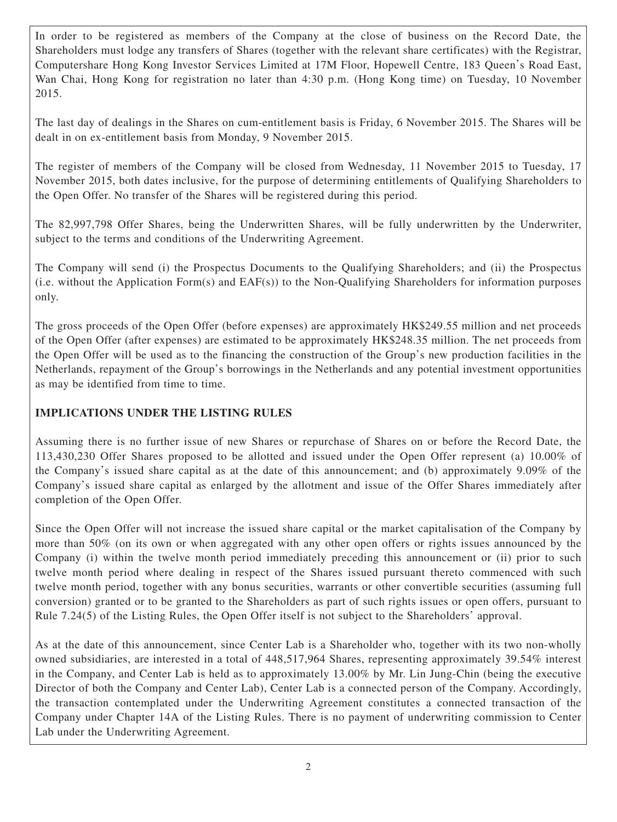In order to be registered as members of the Company at the close of business on the Record Date, the Shareholders must lodge any transfers of Shares (together with the relevant share certificates) with the Registrar, Computershare Hong Kong Investor Services Limited at 17M Floor, Hopewell Centre, 183 Queen's Road East, Wan Chai, Hong Kong for registration no later than 4:30 p.m. (Hong Kong time) on Tuesday, 10 November 2015.

The last day of dealings in the Shares on cum-entitlement basis is Friday, 6 November 2015. The Shares will be dealt in on ex-entitlement basis from Monday, 9 November 2015.

The register of members of the Company will be closed from Wednesday, 11 November 2015 to Tuesday, 17 November 2015, both dates inclusive, for the purpose of determining entitlements of Qualifying Shareholders to the Open Offer. No transfer of the Shares will be registered during this period.

The 82,997,798 Offer Shares, being the Underwritten Shares, will be fully underwritten by the Underwriter, subject to the terms and conditions of the Underwriting Agreement.

The Company will send (i) the Prospectus Documents to the Qualifying Shareholders; and (ii) the Prospectus (i.e. without the Application Form(s) and EAF(s)) to the Non-Qualifying Shareholders for information purposes only.

The gross proceeds of the Open Offer (before expenses) are approximately HK\$249.55 million and net proceeds of the Open Offer (after expenses) are estimated to be approximately HK\$248.35 million. The net proceeds from the Open Offer will be used as to the financing the construction of the Group's new production facilities in the Netherlands, repayment of the Group's borrowings in the Netherlands and any potential investment opportunities as may be identified from time to time.

# **IMPLICATIONS UNDER THE LISTING RULES**

Assuming there is no further issue of new Shares or repurchase of Shares on or before the Record Date, the 113,430,230 Offer Shares proposed to be allotted and issued under the Open Offer represent (a) 10.00% of the Company's issued share capital as at the date of this announcement; and (b) approximately 9.09% of the Company's issued share capital as enlarged by the allotment and issue of the Offer Shares immediately after completion of the Open Offer.

Since the Open Offer will not increase the issued share capital or the market capitalisation of the Company by more than 50% (on its own or when aggregated with any other open offers or rights issues announced by the Company (i) within the twelve month period immediately preceding this announcement or (ii) prior to such twelve month period where dealing in respect of the Shares issued pursuant thereto commenced with such twelve month period, together with any bonus securities, warrants or other convertible securities (assuming full conversion) granted or to be granted to the Shareholders as part of such rights issues or open offers, pursuant to Rule 7.24(5) of the Listing Rules, the Open Offer itself is not subject to the Shareholders' approval.

As at the date of this announcement, since Center Lab is a Shareholder who, together with its two non-wholly owned subsidiaries, are interested in a total of 448,517,964 Shares, representing approximately 39.54% interest in the Company, and Center Lab is held as to approximately 13.00% by Mr. Lin Jung-Chin (being the executive Director of both the Company and Center Lab), Center Lab is a connected person of the Company. Accordingly, the transaction contemplated under the Underwriting Agreement constitutes a connected transaction of the Company under Chapter 14A of the Listing Rules. There is no payment of underwriting commission to Center Lab under the Underwriting Agreement.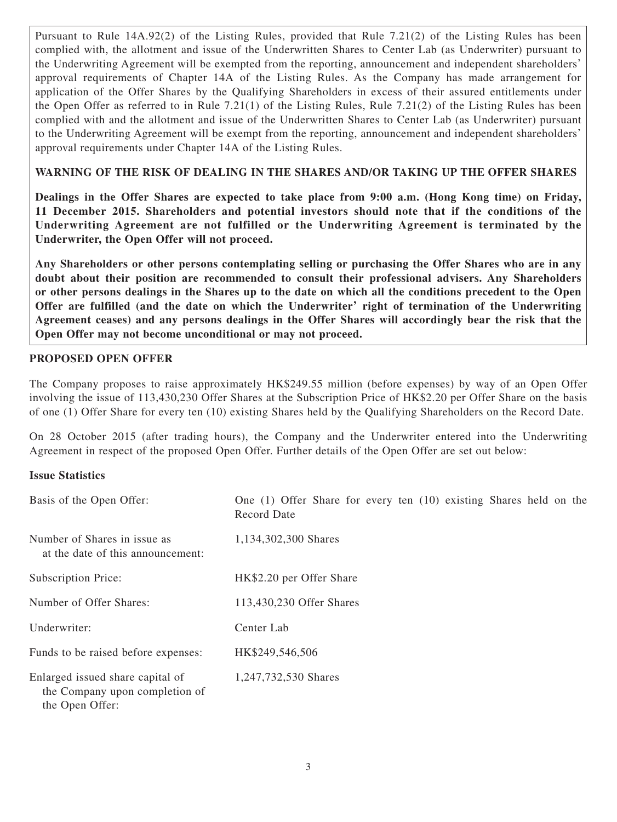Pursuant to Rule 14A.92(2) of the Listing Rules, provided that Rule 7.21(2) of the Listing Rules has been complied with, the allotment and issue of the Underwritten Shares to Center Lab (as Underwriter) pursuant to the Underwriting Agreement will be exempted from the reporting, announcement and independent shareholders' approval requirements of Chapter 14A of the Listing Rules. As the Company has made arrangement for application of the Offer Shares by the Qualifying Shareholders in excess of their assured entitlements under the Open Offer as referred to in Rule 7.21(1) of the Listing Rules, Rule 7.21(2) of the Listing Rules has been complied with and the allotment and issue of the Underwritten Shares to Center Lab (as Underwriter) pursuant to the Underwriting Agreement will be exempt from the reporting, announcement and independent shareholders' approval requirements under Chapter 14A of the Listing Rules.

# **WARNING OF THE RISK OF DEALING IN THE SHARES AND/OR TAKING UP THE OFFER SHARES**

**Dealings in the Offer Shares are expected to take place from 9:00 a.m. (Hong Kong time) on Friday, 11 December 2015. Shareholders and potential investors should note that if the conditions of the Underwriting Agreement are not fulfilled or the Underwriting Agreement is terminated by the Underwriter, the Open Offer will not proceed.**

**Any Shareholders or other persons contemplating selling or purchasing the Offer Shares who are in any doubt about their position are recommended to consult their professional advisers. Any Shareholders or other persons dealings in the Shares up to the date on which all the conditions precedent to the Open Offer are fulfilled (and the date on which the Underwriter' right of termination of the Underwriting Agreement ceases) and any persons dealings in the Offer Shares will accordingly bear the risk that the Open Offer may not become unconditional or may not proceed.**

# **PROPOSED OPEN OFFER**

The Company proposes to raise approximately HK\$249.55 million (before expenses) by way of an Open Offer involving the issue of 113,430,230 Offer Shares at the Subscription Price of HK\$2.20 per Offer Share on the basis of one (1) Offer Share for every ten (10) existing Shares held by the Qualifying Shareholders on the Record Date.

On 28 October 2015 (after trading hours), the Company and the Underwriter entered into the Underwriting Agreement in respect of the proposed Open Offer. Further details of the Open Offer are set out below:

#### **Issue Statistics**

| Basis of the Open Offer:                                                              | One (1) Offer Share for every ten (10) existing Shares held on the<br>Record Date |
|---------------------------------------------------------------------------------------|-----------------------------------------------------------------------------------|
| Number of Shares in issue as<br>at the date of this announcement:                     | 1,134,302,300 Shares                                                              |
| Subscription Price:                                                                   | HK\$2.20 per Offer Share                                                          |
| Number of Offer Shares:                                                               | 113,430,230 Offer Shares                                                          |
| Underwriter:                                                                          | Center Lab                                                                        |
| Funds to be raised before expenses:                                                   | HK\$249,546,506                                                                   |
| Enlarged issued share capital of<br>the Company upon completion of<br>the Open Offer: | 1,247,732,530 Shares                                                              |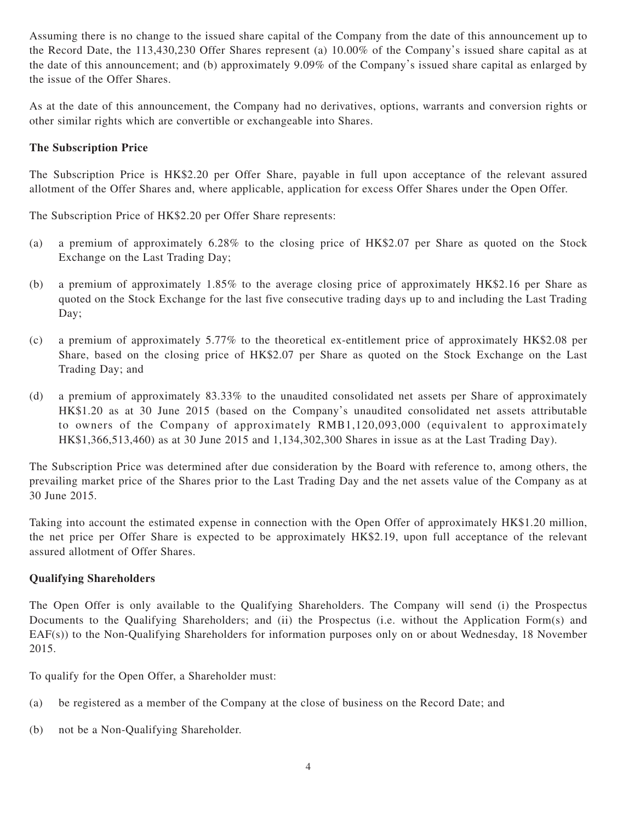Assuming there is no change to the issued share capital of the Company from the date of this announcement up to the Record Date, the 113,430,230 Offer Shares represent (a) 10.00% of the Company's issued share capital as at the date of this announcement; and (b) approximately 9.09% of the Company's issued share capital as enlarged by the issue of the Offer Shares.

As at the date of this announcement, the Company had no derivatives, options, warrants and conversion rights or other similar rights which are convertible or exchangeable into Shares.

## **The Subscription Price**

The Subscription Price is HK\$2.20 per Offer Share, payable in full upon acceptance of the relevant assured allotment of the Offer Shares and, where applicable, application for excess Offer Shares under the Open Offer.

The Subscription Price of HK\$2.20 per Offer Share represents:

- (a) a premium of approximately 6.28% to the closing price of HK\$2.07 per Share as quoted on the Stock Exchange on the Last Trading Day;
- (b) a premium of approximately 1.85% to the average closing price of approximately HK\$2.16 per Share as quoted on the Stock Exchange for the last five consecutive trading days up to and including the Last Trading Day;
- (c) a premium of approximately 5.77% to the theoretical ex-entitlement price of approximately HK\$2.08 per Share, based on the closing price of HK\$2.07 per Share as quoted on the Stock Exchange on the Last Trading Day; and
- (d) a premium of approximately 83.33% to the unaudited consolidated net assets per Share of approximately HK\$1.20 as at 30 June 2015 (based on the Company's unaudited consolidated net assets attributable to owners of the Company of approximately RMB1,120,093,000 (equivalent to approximately HK\$1,366,513,460) as at 30 June 2015 and 1,134,302,300 Shares in issue as at the Last Trading Day).

The Subscription Price was determined after due consideration by the Board with reference to, among others, the prevailing market price of the Shares prior to the Last Trading Day and the net assets value of the Company as at 30 June 2015.

Taking into account the estimated expense in connection with the Open Offer of approximately HK\$1.20 million, the net price per Offer Share is expected to be approximately HK\$2.19, upon full acceptance of the relevant assured allotment of Offer Shares.

#### **Qualifying Shareholders**

The Open Offer is only available to the Qualifying Shareholders. The Company will send (i) the Prospectus Documents to the Qualifying Shareholders; and (ii) the Prospectus (i.e. without the Application Form(s) and EAF(s)) to the Non-Qualifying Shareholders for information purposes only on or about Wednesday, 18 November 2015.

To qualify for the Open Offer, a Shareholder must:

- (a) be registered as a member of the Company at the close of business on the Record Date; and
- (b) not be a Non-Qualifying Shareholder.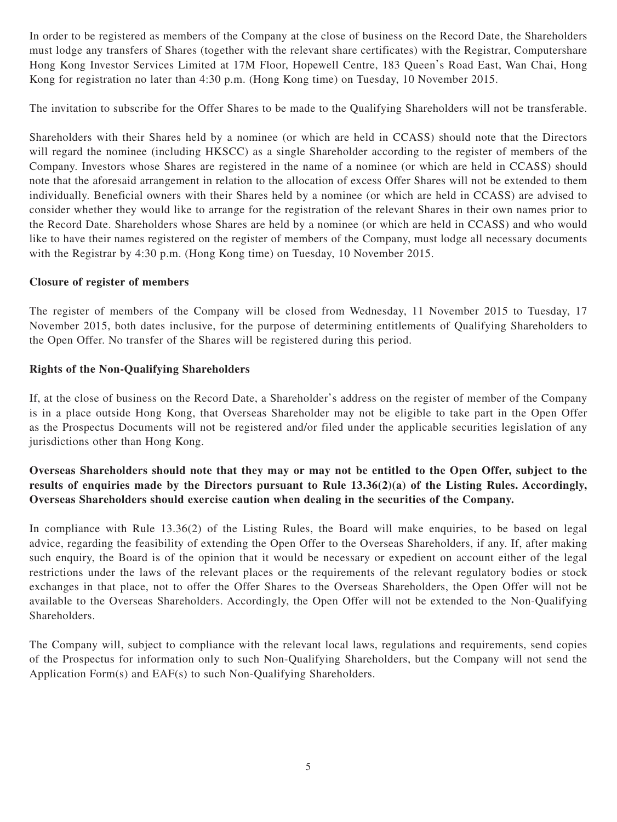In order to be registered as members of the Company at the close of business on the Record Date, the Shareholders must lodge any transfers of Shares (together with the relevant share certificates) with the Registrar, Computershare Hong Kong Investor Services Limited at 17M Floor, Hopewell Centre, 183 Queen's Road East, Wan Chai, Hong Kong for registration no later than 4:30 p.m. (Hong Kong time) on Tuesday, 10 November 2015.

The invitation to subscribe for the Offer Shares to be made to the Qualifying Shareholders will not be transferable.

Shareholders with their Shares held by a nominee (or which are held in CCASS) should note that the Directors will regard the nominee (including HKSCC) as a single Shareholder according to the register of members of the Company. Investors whose Shares are registered in the name of a nominee (or which are held in CCASS) should note that the aforesaid arrangement in relation to the allocation of excess Offer Shares will not be extended to them individually. Beneficial owners with their Shares held by a nominee (or which are held in CCASS) are advised to consider whether they would like to arrange for the registration of the relevant Shares in their own names prior to the Record Date. Shareholders whose Shares are held by a nominee (or which are held in CCASS) and who would like to have their names registered on the register of members of the Company, must lodge all necessary documents with the Registrar by 4:30 p.m. (Hong Kong time) on Tuesday, 10 November 2015.

#### **Closure of register of members**

The register of members of the Company will be closed from Wednesday, 11 November 2015 to Tuesday, 17 November 2015, both dates inclusive, for the purpose of determining entitlements of Qualifying Shareholders to the Open Offer. No transfer of the Shares will be registered during this period.

#### **Rights of the Non-Qualifying Shareholders**

If, at the close of business on the Record Date, a Shareholder's address on the register of member of the Company is in a place outside Hong Kong, that Overseas Shareholder may not be eligible to take part in the Open Offer as the Prospectus Documents will not be registered and/or filed under the applicable securities legislation of any jurisdictions other than Hong Kong.

# **Overseas Shareholders should note that they may or may not be entitled to the Open Offer, subject to the results of enquiries made by the Directors pursuant to Rule 13.36(2)(a) of the Listing Rules. Accordingly, Overseas Shareholders should exercise caution when dealing in the securities of the Company.**

In compliance with Rule 13.36(2) of the Listing Rules, the Board will make enquiries, to be based on legal advice, regarding the feasibility of extending the Open Offer to the Overseas Shareholders, if any. If, after making such enquiry, the Board is of the opinion that it would be necessary or expedient on account either of the legal restrictions under the laws of the relevant places or the requirements of the relevant regulatory bodies or stock exchanges in that place, not to offer the Offer Shares to the Overseas Shareholders, the Open Offer will not be available to the Overseas Shareholders. Accordingly, the Open Offer will not be extended to the Non-Qualifying Shareholders.

The Company will, subject to compliance with the relevant local laws, regulations and requirements, send copies of the Prospectus for information only to such Non-Qualifying Shareholders, but the Company will not send the Application Form(s) and EAF(s) to such Non-Qualifying Shareholders.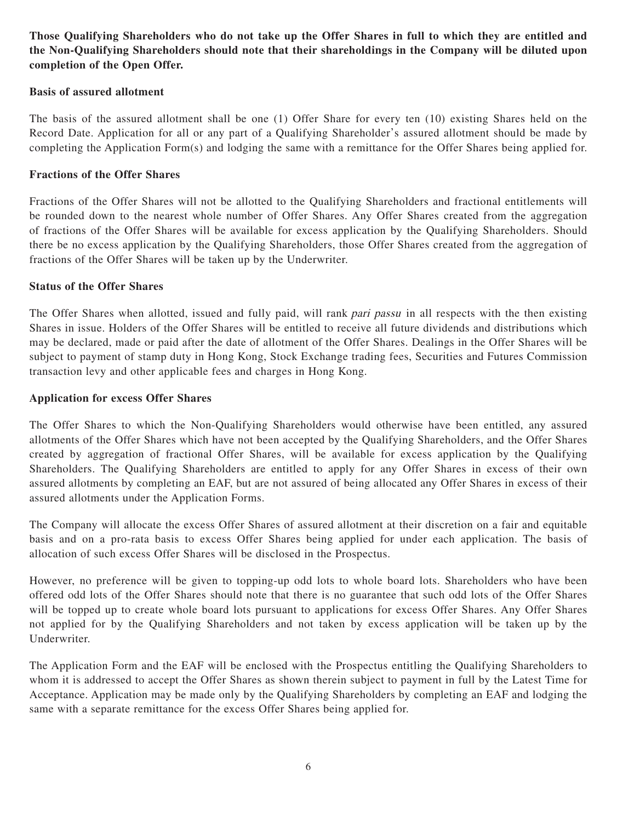# **Those Qualifying Shareholders who do not take up the Offer Shares in full to which they are entitled and the Non-Qualifying Shareholders should note that their shareholdings in the Company will be diluted upon completion of the Open Offer.**

#### **Basis of assured allotment**

The basis of the assured allotment shall be one (1) Offer Share for every ten (10) existing Shares held on the Record Date. Application for all or any part of a Qualifying Shareholder's assured allotment should be made by completing the Application Form(s) and lodging the same with a remittance for the Offer Shares being applied for.

#### **Fractions of the Offer Shares**

Fractions of the Offer Shares will not be allotted to the Qualifying Shareholders and fractional entitlements will be rounded down to the nearest whole number of Offer Shares. Any Offer Shares created from the aggregation of fractions of the Offer Shares will be available for excess application by the Qualifying Shareholders. Should there be no excess application by the Qualifying Shareholders, those Offer Shares created from the aggregation of fractions of the Offer Shares will be taken up by the Underwriter.

#### **Status of the Offer Shares**

The Offer Shares when allotted, issued and fully paid, will rank pari passu in all respects with the then existing Shares in issue. Holders of the Offer Shares will be entitled to receive all future dividends and distributions which may be declared, made or paid after the date of allotment of the Offer Shares. Dealings in the Offer Shares will be subject to payment of stamp duty in Hong Kong, Stock Exchange trading fees, Securities and Futures Commission transaction levy and other applicable fees and charges in Hong Kong.

#### **Application for excess Offer Shares**

The Offer Shares to which the Non-Qualifying Shareholders would otherwise have been entitled, any assured allotments of the Offer Shares which have not been accepted by the Qualifying Shareholders, and the Offer Shares created by aggregation of fractional Offer Shares, will be available for excess application by the Qualifying Shareholders. The Qualifying Shareholders are entitled to apply for any Offer Shares in excess of their own assured allotments by completing an EAF, but are not assured of being allocated any Offer Shares in excess of their assured allotments under the Application Forms.

The Company will allocate the excess Offer Shares of assured allotment at their discretion on a fair and equitable basis and on a pro-rata basis to excess Offer Shares being applied for under each application. The basis of allocation of such excess Offer Shares will be disclosed in the Prospectus.

However, no preference will be given to topping-up odd lots to whole board lots. Shareholders who have been offered odd lots of the Offer Shares should note that there is no guarantee that such odd lots of the Offer Shares will be topped up to create whole board lots pursuant to applications for excess Offer Shares. Any Offer Shares not applied for by the Qualifying Shareholders and not taken by excess application will be taken up by the Underwriter.

The Application Form and the EAF will be enclosed with the Prospectus entitling the Qualifying Shareholders to whom it is addressed to accept the Offer Shares as shown therein subject to payment in full by the Latest Time for Acceptance. Application may be made only by the Qualifying Shareholders by completing an EAF and lodging the same with a separate remittance for the excess Offer Shares being applied for.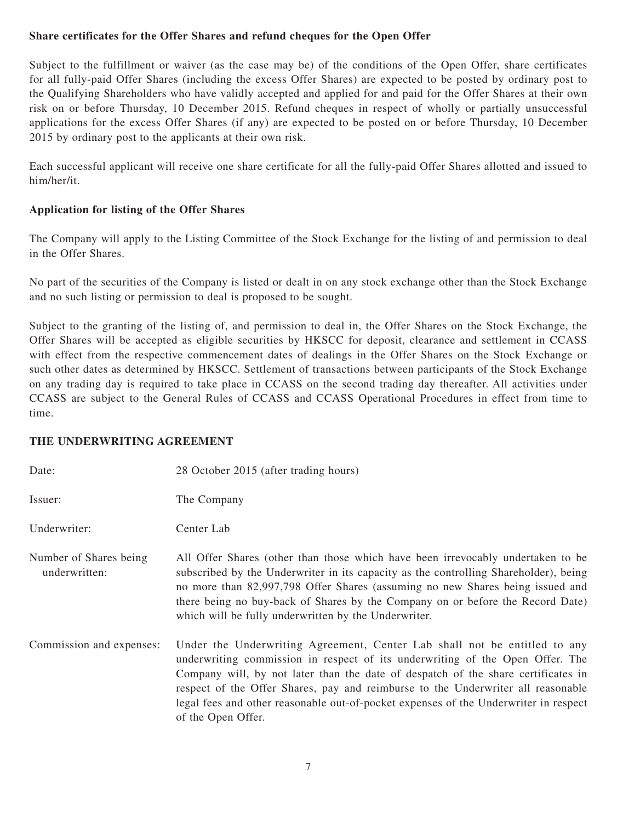## **Share certificates for the Offer Shares and refund cheques for the Open Offer**

Subject to the fulfillment or waiver (as the case may be) of the conditions of the Open Offer, share certificates for all fully-paid Offer Shares (including the excess Offer Shares) are expected to be posted by ordinary post to the Qualifying Shareholders who have validly accepted and applied for and paid for the Offer Shares at their own risk on or before Thursday, 10 December 2015. Refund cheques in respect of wholly or partially unsuccessful applications for the excess Offer Shares (if any) are expected to be posted on or before Thursday, 10 December 2015 by ordinary post to the applicants at their own risk.

Each successful applicant will receive one share certificate for all the fully-paid Offer Shares allotted and issued to him/her/it.

## **Application for listing of the Offer Shares**

The Company will apply to the Listing Committee of the Stock Exchange for the listing of and permission to deal in the Offer Shares.

No part of the securities of the Company is listed or dealt in on any stock exchange other than the Stock Exchange and no such listing or permission to deal is proposed to be sought.

Subject to the granting of the listing of, and permission to deal in, the Offer Shares on the Stock Exchange, the Offer Shares will be accepted as eligible securities by HKSCC for deposit, clearance and settlement in CCASS with effect from the respective commencement dates of dealings in the Offer Shares on the Stock Exchange or such other dates as determined by HKSCC. Settlement of transactions between participants of the Stock Exchange on any trading day is required to take place in CCASS on the second trading day thereafter. All activities under CCASS are subject to the General Rules of CCASS and CCASS Operational Procedures in effect from time to time.

#### **THE UNDERWRITING AGREEMENT**

| Date:                                   | 28 October 2015 (after trading hours)                                                                                                                                                                                                                                                                                                                                                                                                             |
|-----------------------------------------|---------------------------------------------------------------------------------------------------------------------------------------------------------------------------------------------------------------------------------------------------------------------------------------------------------------------------------------------------------------------------------------------------------------------------------------------------|
| Issuer:                                 | The Company                                                                                                                                                                                                                                                                                                                                                                                                                                       |
| Underwriter:                            | Center Lab                                                                                                                                                                                                                                                                                                                                                                                                                                        |
| Number of Shares being<br>underwritten: | All Offer Shares (other than those which have been irrevocably undertaken to be<br>subscribed by the Underwriter in its capacity as the controlling Shareholder), being<br>no more than 82,997,798 Offer Shares (assuming no new Shares being issued and<br>there being no buy-back of Shares by the Company on or before the Record Date)<br>which will be fully underwritten by the Underwriter.                                                |
| Commission and expenses:                | Under the Underwriting Agreement, Center Lab shall not be entitled to any<br>underwriting commission in respect of its underwriting of the Open Offer. The<br>Company will, by not later than the date of despatch of the share certificates in<br>respect of the Offer Shares, pay and reimburse to the Underwriter all reasonable<br>legal fees and other reasonable out-of-pocket expenses of the Underwriter in respect<br>of the Open Offer. |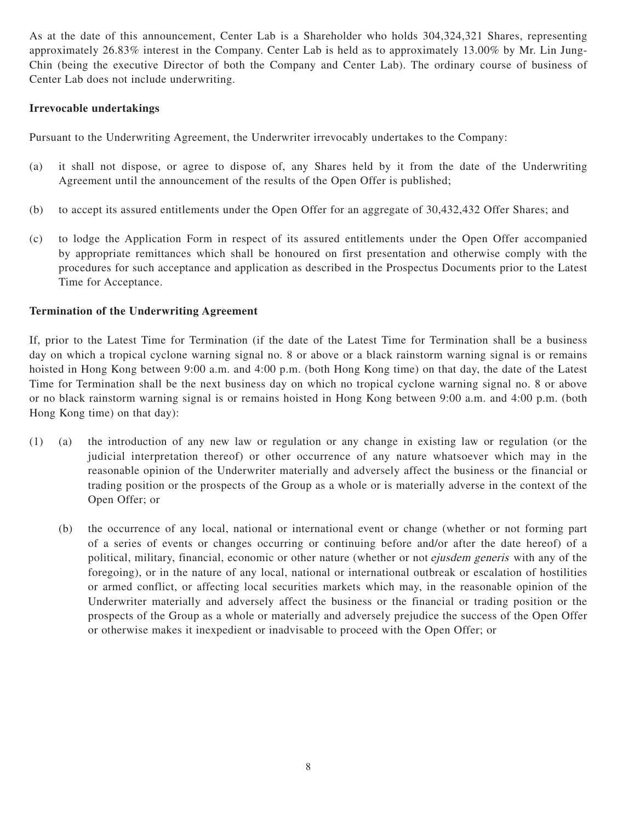As at the date of this announcement, Center Lab is a Shareholder who holds 304,324,321 Shares, representing approximately 26.83% interest in the Company. Center Lab is held as to approximately 13.00% by Mr. Lin Jung-Chin (being the executive Director of both the Company and Center Lab). The ordinary course of business of Center Lab does not include underwriting.

## **Irrevocable undertakings**

Pursuant to the Underwriting Agreement, the Underwriter irrevocably undertakes to the Company:

- (a) it shall not dispose, or agree to dispose of, any Shares held by it from the date of the Underwriting Agreement until the announcement of the results of the Open Offer is published;
- (b) to accept its assured entitlements under the Open Offer for an aggregate of 30,432,432 Offer Shares; and
- (c) to lodge the Application Form in respect of its assured entitlements under the Open Offer accompanied by appropriate remittances which shall be honoured on first presentation and otherwise comply with the procedures for such acceptance and application as described in the Prospectus Documents prior to the Latest Time for Acceptance.

#### **Termination of the Underwriting Agreement**

If, prior to the Latest Time for Termination (if the date of the Latest Time for Termination shall be a business day on which a tropical cyclone warning signal no. 8 or above or a black rainstorm warning signal is or remains hoisted in Hong Kong between 9:00 a.m. and 4:00 p.m. (both Hong Kong time) on that day, the date of the Latest Time for Termination shall be the next business day on which no tropical cyclone warning signal no. 8 or above or no black rainstorm warning signal is or remains hoisted in Hong Kong between 9:00 a.m. and 4:00 p.m. (both Hong Kong time) on that day):

- (1) (a) the introduction of any new law or regulation or any change in existing law or regulation (or the judicial interpretation thereof) or other occurrence of any nature whatsoever which may in the reasonable opinion of the Underwriter materially and adversely affect the business or the financial or trading position or the prospects of the Group as a whole or is materially adverse in the context of the Open Offer; or
	- (b) the occurrence of any local, national or international event or change (whether or not forming part of a series of events or changes occurring or continuing before and/or after the date hereof) of a political, military, financial, economic or other nature (whether or not ejusdem generis with any of the foregoing), or in the nature of any local, national or international outbreak or escalation of hostilities or armed conflict, or affecting local securities markets which may, in the reasonable opinion of the Underwriter materially and adversely affect the business or the financial or trading position or the prospects of the Group as a whole or materially and adversely prejudice the success of the Open Offer or otherwise makes it inexpedient or inadvisable to proceed with the Open Offer; or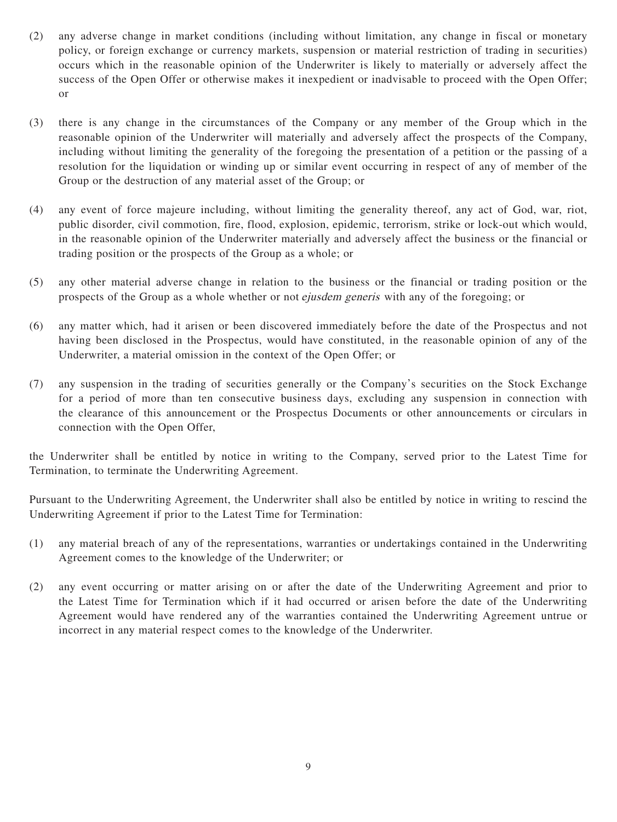- (2) any adverse change in market conditions (including without limitation, any change in fiscal or monetary policy, or foreign exchange or currency markets, suspension or material restriction of trading in securities) occurs which in the reasonable opinion of the Underwriter is likely to materially or adversely affect the success of the Open Offer or otherwise makes it inexpedient or inadvisable to proceed with the Open Offer; or
- (3) there is any change in the circumstances of the Company or any member of the Group which in the reasonable opinion of the Underwriter will materially and adversely affect the prospects of the Company, including without limiting the generality of the foregoing the presentation of a petition or the passing of a resolution for the liquidation or winding up or similar event occurring in respect of any of member of the Group or the destruction of any material asset of the Group; or
- (4) any event of force majeure including, without limiting the generality thereof, any act of God, war, riot, public disorder, civil commotion, fire, flood, explosion, epidemic, terrorism, strike or lock-out which would, in the reasonable opinion of the Underwriter materially and adversely affect the business or the financial or trading position or the prospects of the Group as a whole; or
- (5) any other material adverse change in relation to the business or the financial or trading position or the prospects of the Group as a whole whether or not ejusdem generis with any of the foregoing; or
- (6) any matter which, had it arisen or been discovered immediately before the date of the Prospectus and not having been disclosed in the Prospectus, would have constituted, in the reasonable opinion of any of the Underwriter, a material omission in the context of the Open Offer; or
- (7) any suspension in the trading of securities generally or the Company's securities on the Stock Exchange for a period of more than ten consecutive business days, excluding any suspension in connection with the clearance of this announcement or the Prospectus Documents or other announcements or circulars in connection with the Open Offer,

the Underwriter shall be entitled by notice in writing to the Company, served prior to the Latest Time for Termination, to terminate the Underwriting Agreement.

Pursuant to the Underwriting Agreement, the Underwriter shall also be entitled by notice in writing to rescind the Underwriting Agreement if prior to the Latest Time for Termination:

- (1) any material breach of any of the representations, warranties or undertakings contained in the Underwriting Agreement comes to the knowledge of the Underwriter; or
- (2) any event occurring or matter arising on or after the date of the Underwriting Agreement and prior to the Latest Time for Termination which if it had occurred or arisen before the date of the Underwriting Agreement would have rendered any of the warranties contained the Underwriting Agreement untrue or incorrect in any material respect comes to the knowledge of the Underwriter.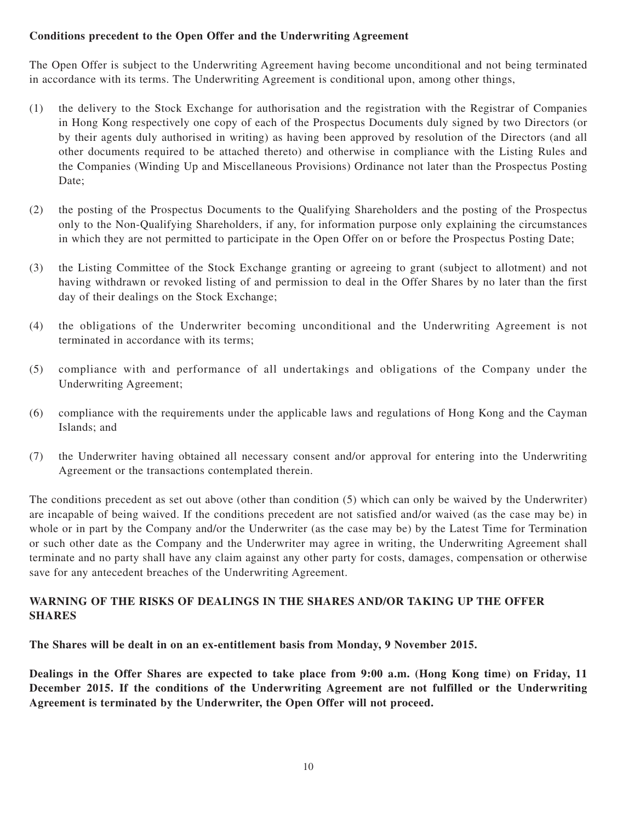# **Conditions precedent to the Open Offer and the Underwriting Agreement**

The Open Offer is subject to the Underwriting Agreement having become unconditional and not being terminated in accordance with its terms. The Underwriting Agreement is conditional upon, among other things,

- (1) the delivery to the Stock Exchange for authorisation and the registration with the Registrar of Companies in Hong Kong respectively one copy of each of the Prospectus Documents duly signed by two Directors (or by their agents duly authorised in writing) as having been approved by resolution of the Directors (and all other documents required to be attached thereto) and otherwise in compliance with the Listing Rules and the Companies (Winding Up and Miscellaneous Provisions) Ordinance not later than the Prospectus Posting Date;
- (2) the posting of the Prospectus Documents to the Qualifying Shareholders and the posting of the Prospectus only to the Non-Qualifying Shareholders, if any, for information purpose only explaining the circumstances in which they are not permitted to participate in the Open Offer on or before the Prospectus Posting Date;
- (3) the Listing Committee of the Stock Exchange granting or agreeing to grant (subject to allotment) and not having withdrawn or revoked listing of and permission to deal in the Offer Shares by no later than the first day of their dealings on the Stock Exchange;
- (4) the obligations of the Underwriter becoming unconditional and the Underwriting Agreement is not terminated in accordance with its terms;
- (5) compliance with and performance of all undertakings and obligations of the Company under the Underwriting Agreement;
- (6) compliance with the requirements under the applicable laws and regulations of Hong Kong and the Cayman Islands; and
- (7) the Underwriter having obtained all necessary consent and/or approval for entering into the Underwriting Agreement or the transactions contemplated therein.

The conditions precedent as set out above (other than condition (5) which can only be waived by the Underwriter) are incapable of being waived. If the conditions precedent are not satisfied and/or waived (as the case may be) in whole or in part by the Company and/or the Underwriter (as the case may be) by the Latest Time for Termination or such other date as the Company and the Underwriter may agree in writing, the Underwriting Agreement shall terminate and no party shall have any claim against any other party for costs, damages, compensation or otherwise save for any antecedent breaches of the Underwriting Agreement.

# **WARNING OF THE RISKS OF DEALINGS IN THE SHARES AND/OR TAKING UP THE OFFER SHARES**

**The Shares will be dealt in on an ex-entitlement basis from Monday, 9 November 2015.**

**Dealings in the Offer Shares are expected to take place from 9:00 a.m. (Hong Kong time) on Friday, 11 December 2015. If the conditions of the Underwriting Agreement are not fulfilled or the Underwriting Agreement is terminated by the Underwriter, the Open Offer will not proceed.**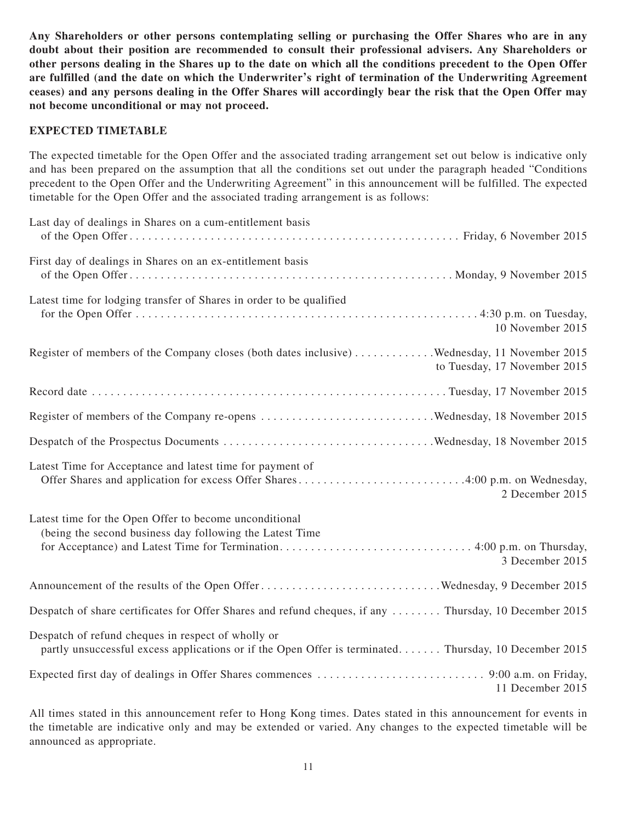**Any Shareholders or other persons contemplating selling or purchasing the Offer Shares who are in any doubt about their position are recommended to consult their professional advisers. Any Shareholders or other persons dealing in the Shares up to the date on which all the conditions precedent to the Open Offer are fulfilled (and the date on which the Underwriter's right of termination of the Underwriting Agreement ceases) and any persons dealing in the Offer Shares will accordingly bear the risk that the Open Offer may not become unconditional or may not proceed.**

#### **EXPECTED TIMETABLE**

The expected timetable for the Open Offer and the associated trading arrangement set out below is indicative only and has been prepared on the assumption that all the conditions set out under the paragraph headed "Conditions precedent to the Open Offer and the Underwriting Agreement" in this announcement will be fulfilled. The expected timetable for the Open Offer and the associated trading arrangement is as follows:

| Last day of dealings in Shares on a cum-entitlement basis                                                                                                   |
|-------------------------------------------------------------------------------------------------------------------------------------------------------------|
| First day of dealings in Shares on an ex-entitlement basis                                                                                                  |
| Latest time for lodging transfer of Shares in order to be qualified<br>10 November 2015                                                                     |
| Register of members of the Company closes (both dates inclusive) Wednesday, 11 November 2015<br>to Tuesday, 17 November 2015                                |
|                                                                                                                                                             |
|                                                                                                                                                             |
|                                                                                                                                                             |
| Latest Time for Acceptance and latest time for payment of<br>Offer Shares and application for excess Offer Shares4:00 p.m. on Wednesday,<br>2 December 2015 |
| Latest time for the Open Offer to become unconditional<br>(being the second business day following the Latest Time<br>3 December 2015                       |
|                                                                                                                                                             |
| Despatch of share certificates for Offer Shares and refund cheques, if any  Thursday, 10 December 2015                                                      |
| Despatch of refund cheques in respect of wholly or<br>partly unsuccessful excess applications or if the Open Offer is terminated Thursday, 10 December 2015 |
| 11 December 2015                                                                                                                                            |

All times stated in this announcement refer to Hong Kong times. Dates stated in this announcement for events in the timetable are indicative only and may be extended or varied. Any changes to the expected timetable will be announced as appropriate.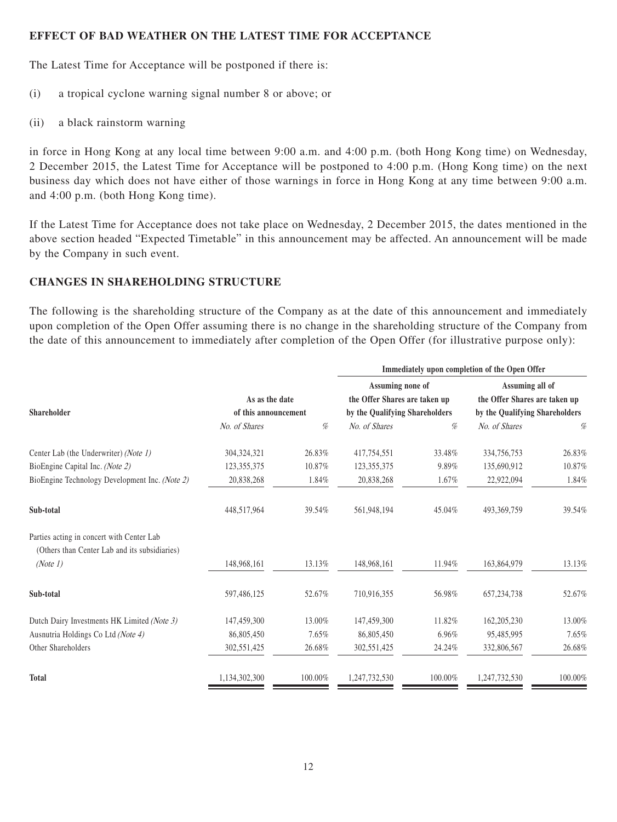#### **EFFECT OF BAD WEATHER ON THE LATEST TIME FOR ACCEPTANCE**

The Latest Time for Acceptance will be postponed if there is:

- (i) a tropical cyclone warning signal number 8 or above; or
- (ii) a black rainstorm warning

in force in Hong Kong at any local time between 9:00 a.m. and 4:00 p.m. (both Hong Kong time) on Wednesday, 2 December 2015, the Latest Time for Acceptance will be postponed to 4:00 p.m. (Hong Kong time) on the next business day which does not have either of those warnings in force in Hong Kong at any time between 9:00 a.m. and 4:00 p.m. (both Hong Kong time).

If the Latest Time for Acceptance does not take place on Wednesday, 2 December 2015, the dates mentioned in the above section headed "Expected Timetable" in this announcement may be affected. An announcement will be made by the Company in such event.

# **CHANGES IN SHAREHOLDING STRUCTURE**

The following is the shareholding structure of the Company as at the date of this announcement and immediately upon completion of the Open Offer assuming there is no change in the shareholding structure of the Company from the date of this announcement to immediately after completion of the Open Offer (for illustrative purpose only):

|                                                                                            |                                        |         | Immediately upon completion of the Open Offer                   |         |                                                                 |         |
|--------------------------------------------------------------------------------------------|----------------------------------------|---------|-----------------------------------------------------------------|---------|-----------------------------------------------------------------|---------|
|                                                                                            |                                        |         | Assuming none of                                                |         | Assuming all of                                                 |         |
|                                                                                            | As as the date<br>of this announcement |         | the Offer Shares are taken up<br>by the Qualifying Shareholders |         | the Offer Shares are taken up<br>by the Qualifying Shareholders |         |
| <b>Shareholder</b>                                                                         |                                        |         |                                                                 |         |                                                                 |         |
|                                                                                            | No. of Shares                          | %       | No. of Shares                                                   | %       | No. of Shares                                                   | $\%$    |
| Center Lab (the Underwriter) (Note 1)                                                      | 304, 324, 321                          | 26.83%  | 417,754,551                                                     | 33.48%  | 334,756,753                                                     | 26.83%  |
| BioEngine Capital Inc. (Note 2)                                                            | 123, 355, 375                          | 10.87%  | 123, 355, 375                                                   | 9.89%   | 135,690,912                                                     | 10.87%  |
| BioEngine Technology Development Inc. (Note 2)                                             | 20,838,268                             | 1.84%   | 20,838,268                                                      | 1.67%   | 22,922,094                                                      | 1.84%   |
| Sub-total                                                                                  | 448,517,964                            | 39.54%  | 561,948,194                                                     | 45.04%  | 493,369,759                                                     | 39.54%  |
| Parties acting in concert with Center Lab<br>(Others than Center Lab and its subsidiaries) |                                        |         |                                                                 |         |                                                                 |         |
| (Note 1)                                                                                   | 148,968,161                            | 13.13%  | 148,968,161                                                     | 11.94%  | 163,864,979                                                     | 13.13%  |
| Sub-total                                                                                  | 597,486,125                            | 52.67%  | 710,916,355                                                     | 56.98%  | 657, 234, 738                                                   | 52.67%  |
| Dutch Dairy Investments HK Limited (Note 3)                                                | 147,459,300                            | 13.00%  | 147,459,300                                                     | 11.82%  | 162,205,230                                                     | 13.00%  |
| Ausnutria Holdings Co Ltd (Note 4)                                                         | 86,805,450                             | 7.65%   | 86,805,450                                                      | 6.96%   | 95,485,995                                                      | 7.65%   |
| Other Shareholders                                                                         | 302,551,425                            | 26.68%  | 302,551,425                                                     | 24.24%  | 332,806,567                                                     | 26.68%  |
| Total                                                                                      | 1,134,302,300                          | 100.00% | 1,247,732,530                                                   | 100.00% | 1,247,732,530                                                   | 100.00% |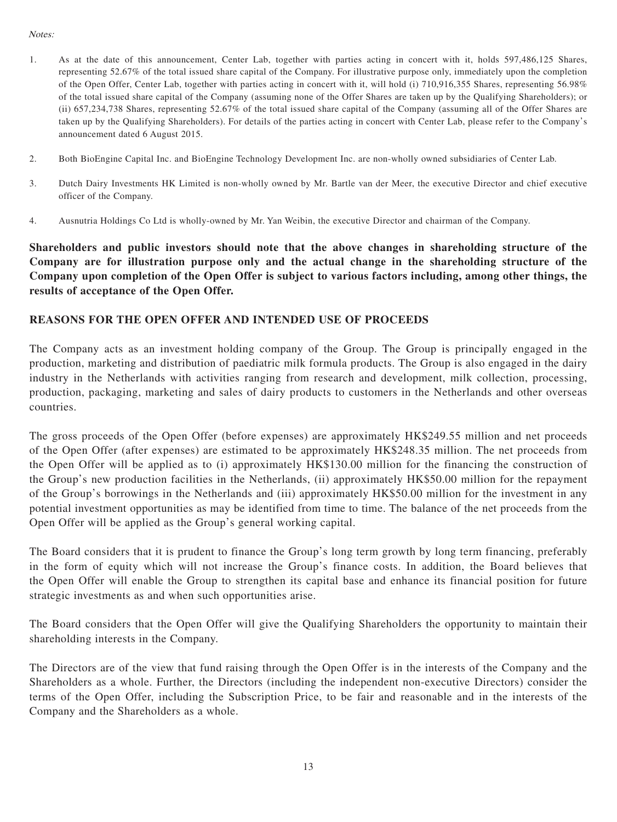#### Notes:

- 1. As at the date of this announcement, Center Lab, together with parties acting in concert with it, holds 597,486,125 Shares, representing 52.67% of the total issued share capital of the Company. For illustrative purpose only, immediately upon the completion of the Open Offer, Center Lab, together with parties acting in concert with it, will hold (i) 710,916,355 Shares, representing 56.98% of the total issued share capital of the Company (assuming none of the Offer Shares are taken up by the Qualifying Shareholders); or (ii) 657,234,738 Shares, representing 52.67% of the total issued share capital of the Company (assuming all of the Offer Shares are taken up by the Qualifying Shareholders). For details of the parties acting in concert with Center Lab, please refer to the Company's announcement dated 6 August 2015.
- 2. Both BioEngine Capital Inc. and BioEngine Technology Development Inc. are non-wholly owned subsidiaries of Center Lab.
- 3. Dutch Dairy Investments HK Limited is non-wholly owned by Mr. Bartle van der Meer, the executive Director and chief executive officer of the Company.
- 4. Ausnutria Holdings Co Ltd is wholly-owned by Mr. Yan Weibin, the executive Director and chairman of the Company.

**Shareholders and public investors should note that the above changes in shareholding structure of the Company are for illustration purpose only and the actual change in the shareholding structure of the Company upon completion of the Open Offer is subject to various factors including, among other things, the results of acceptance of the Open Offer.**

#### **REASONS FOR THE OPEN OFFER AND INTENDED USE OF PROCEEDS**

The Company acts as an investment holding company of the Group. The Group is principally engaged in the production, marketing and distribution of paediatric milk formula products. The Group is also engaged in the dairy industry in the Netherlands with activities ranging from research and development, milk collection, processing, production, packaging, marketing and sales of dairy products to customers in the Netherlands and other overseas countries.

The gross proceeds of the Open Offer (before expenses) are approximately HK\$249.55 million and net proceeds of the Open Offer (after expenses) are estimated to be approximately HK\$248.35 million. The net proceeds from the Open Offer will be applied as to (i) approximately HK\$130.00 million for the financing the construction of the Group's new production facilities in the Netherlands, (ii) approximately HK\$50.00 million for the repayment of the Group's borrowings in the Netherlands and (iii) approximately HK\$50.00 million for the investment in any potential investment opportunities as may be identified from time to time. The balance of the net proceeds from the Open Offer will be applied as the Group's general working capital.

The Board considers that it is prudent to finance the Group's long term growth by long term financing, preferably in the form of equity which will not increase the Group's finance costs. In addition, the Board believes that the Open Offer will enable the Group to strengthen its capital base and enhance its financial position for future strategic investments as and when such opportunities arise.

The Board considers that the Open Offer will give the Qualifying Shareholders the opportunity to maintain their shareholding interests in the Company.

The Directors are of the view that fund raising through the Open Offer is in the interests of the Company and the Shareholders as a whole. Further, the Directors (including the independent non-executive Directors) consider the terms of the Open Offer, including the Subscription Price, to be fair and reasonable and in the interests of the Company and the Shareholders as a whole.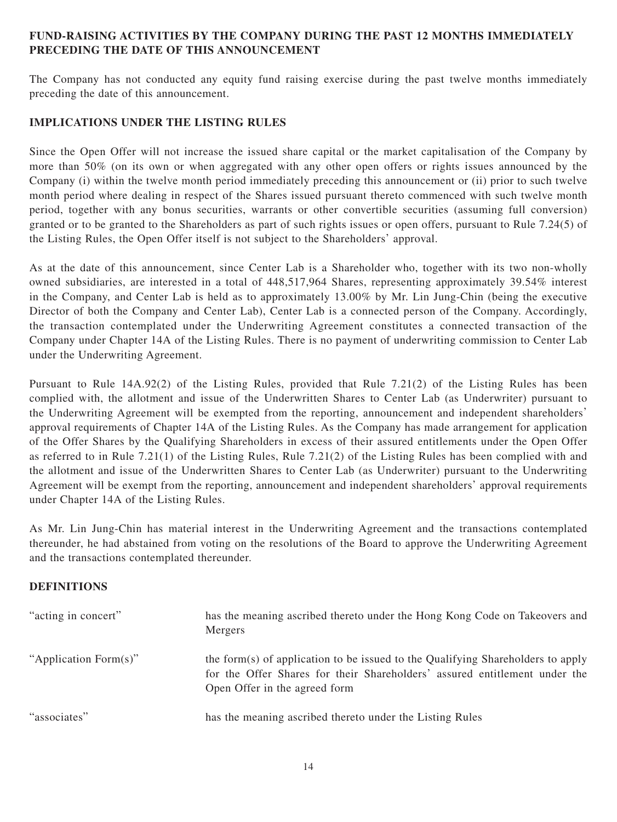# **FUND-RAISING ACTIVITIES BY THE COMPANY DURING THE PAST 12 MONTHS IMMEDIATELY PRECEDING THE DATE OF THIS ANNOUNCEMENT**

The Company has not conducted any equity fund raising exercise during the past twelve months immediately preceding the date of this announcement.

## **IMPLICATIONS UNDER THE LISTING RULES**

Since the Open Offer will not increase the issued share capital or the market capitalisation of the Company by more than 50% (on its own or when aggregated with any other open offers or rights issues announced by the Company (i) within the twelve month period immediately preceding this announcement or (ii) prior to such twelve month period where dealing in respect of the Shares issued pursuant thereto commenced with such twelve month period, together with any bonus securities, warrants or other convertible securities (assuming full conversion) granted or to be granted to the Shareholders as part of such rights issues or open offers, pursuant to Rule 7.24(5) of the Listing Rules, the Open Offer itself is not subject to the Shareholders' approval.

As at the date of this announcement, since Center Lab is a Shareholder who, together with its two non-wholly owned subsidiaries, are interested in a total of 448,517,964 Shares, representing approximately 39.54% interest in the Company, and Center Lab is held as to approximately 13.00% by Mr. Lin Jung-Chin (being the executive Director of both the Company and Center Lab), Center Lab is a connected person of the Company. Accordingly, the transaction contemplated under the Underwriting Agreement constitutes a connected transaction of the Company under Chapter 14A of the Listing Rules. There is no payment of underwriting commission to Center Lab under the Underwriting Agreement.

Pursuant to Rule 14A.92(2) of the Listing Rules, provided that Rule 7.21(2) of the Listing Rules has been complied with, the allotment and issue of the Underwritten Shares to Center Lab (as Underwriter) pursuant to the Underwriting Agreement will be exempted from the reporting, announcement and independent shareholders' approval requirements of Chapter 14A of the Listing Rules. As the Company has made arrangement for application of the Offer Shares by the Qualifying Shareholders in excess of their assured entitlements under the Open Offer as referred to in Rule 7.21(1) of the Listing Rules, Rule 7.21(2) of the Listing Rules has been complied with and the allotment and issue of the Underwritten Shares to Center Lab (as Underwriter) pursuant to the Underwriting Agreement will be exempt from the reporting, announcement and independent shareholders' approval requirements under Chapter 14A of the Listing Rules.

As Mr. Lin Jung-Chin has material interest in the Underwriting Agreement and the transactions contemplated thereunder, he had abstained from voting on the resolutions of the Board to approve the Underwriting Agreement and the transactions contemplated thereunder.

#### **DEFINITIONS**

| "acting in concert"   | has the meaning ascribed thereto under the Hong Kong Code on Takeovers and<br>Mergers                                                                                                          |
|-----------------------|------------------------------------------------------------------------------------------------------------------------------------------------------------------------------------------------|
| "Application Form(s)" | the form(s) of application to be issued to the Qualifying Shareholders to apply<br>for the Offer Shares for their Shareholders' assured entitlement under the<br>Open Offer in the agreed form |
| "associates"          | has the meaning ascribed thereto under the Listing Rules                                                                                                                                       |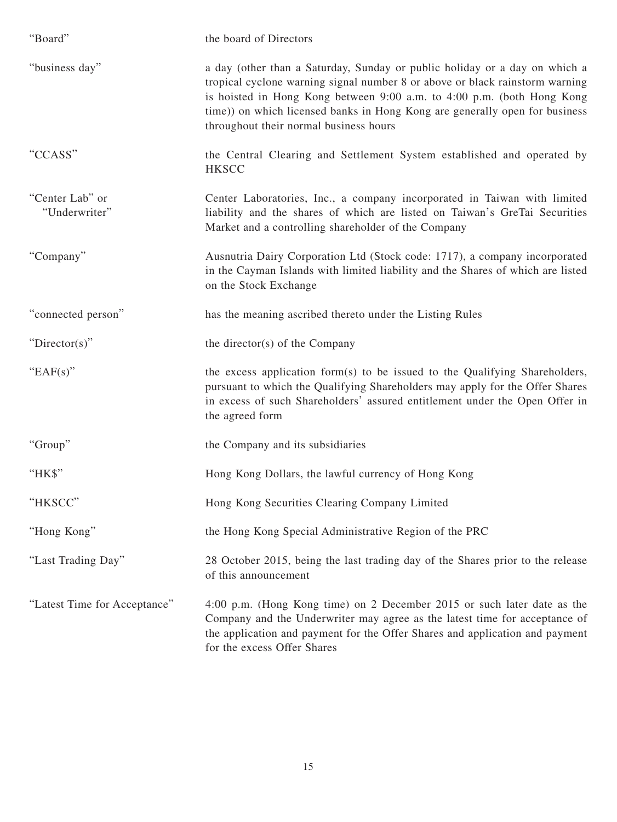| "Board"                          | the board of Directors                                                                                                                                                                                                                                                                                                                                        |
|----------------------------------|---------------------------------------------------------------------------------------------------------------------------------------------------------------------------------------------------------------------------------------------------------------------------------------------------------------------------------------------------------------|
| "business day"                   | a day (other than a Saturday, Sunday or public holiday or a day on which a<br>tropical cyclone warning signal number 8 or above or black rainstorm warning<br>is hoisted in Hong Kong between 9:00 a.m. to 4:00 p.m. (both Hong Kong<br>time)) on which licensed banks in Hong Kong are generally open for business<br>throughout their normal business hours |
| "CCASS"                          | the Central Clearing and Settlement System established and operated by<br><b>HKSCC</b>                                                                                                                                                                                                                                                                        |
| "Center Lab" or<br>"Underwriter" | Center Laboratories, Inc., a company incorporated in Taiwan with limited<br>liability and the shares of which are listed on Taiwan's GreTai Securities<br>Market and a controlling shareholder of the Company                                                                                                                                                 |
| "Company"                        | Ausnutria Dairy Corporation Ltd (Stock code: 1717), a company incorporated<br>in the Cayman Islands with limited liability and the Shares of which are listed<br>on the Stock Exchange                                                                                                                                                                        |
| "connected person"               | has the meaning ascribed thereto under the Listing Rules                                                                                                                                                                                                                                                                                                      |
| "Director(s)"                    | the director(s) of the Company                                                                                                                                                                                                                                                                                                                                |
| "EAF $(s)$ "                     | the excess application form(s) to be issued to the Qualifying Shareholders,<br>pursuant to which the Qualifying Shareholders may apply for the Offer Shares<br>in excess of such Shareholders' assured entitlement under the Open Offer in<br>the agreed form                                                                                                 |
| "Group"                          | the Company and its subsidiaries                                                                                                                                                                                                                                                                                                                              |
| "HK\$"                           | Hong Kong Dollars, the lawful currency of Hong Kong                                                                                                                                                                                                                                                                                                           |
| "HKSCC"                          | Hong Kong Securities Clearing Company Limited                                                                                                                                                                                                                                                                                                                 |
| "Hong Kong"                      | the Hong Kong Special Administrative Region of the PRC                                                                                                                                                                                                                                                                                                        |
| "Last Trading Day"               | 28 October 2015, being the last trading day of the Shares prior to the release<br>of this announcement                                                                                                                                                                                                                                                        |
| "Latest Time for Acceptance"     | 4:00 p.m. (Hong Kong time) on 2 December 2015 or such later date as the<br>Company and the Underwriter may agree as the latest time for acceptance of<br>the application and payment for the Offer Shares and application and payment<br>for the excess Offer Shares                                                                                          |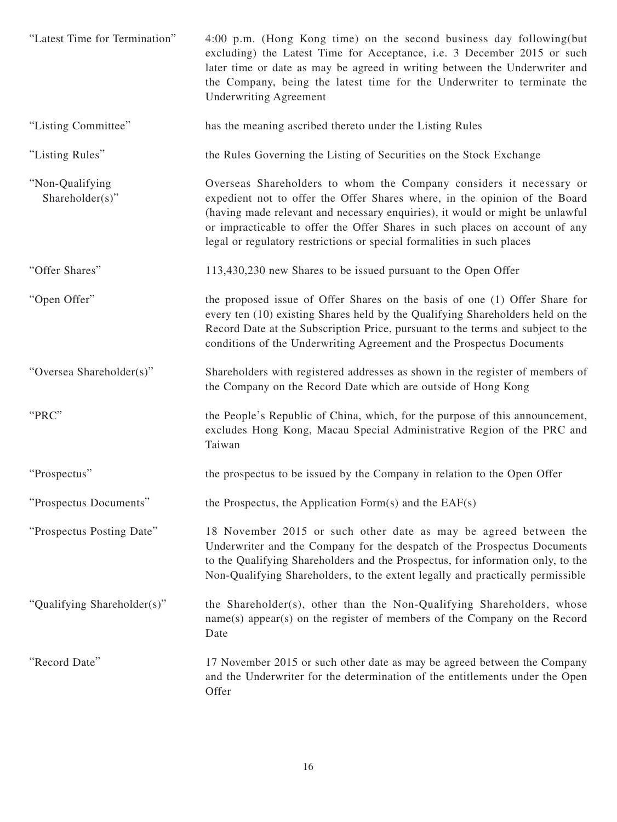| "Latest Time for Termination"      | 4:00 p.m. (Hong Kong time) on the second business day following (but<br>excluding) the Latest Time for Acceptance, i.e. 3 December 2015 or such<br>later time or date as may be agreed in writing between the Underwriter and<br>the Company, being the latest time for the Underwriter to terminate the<br><b>Underwriting Agreement</b>                                                   |
|------------------------------------|---------------------------------------------------------------------------------------------------------------------------------------------------------------------------------------------------------------------------------------------------------------------------------------------------------------------------------------------------------------------------------------------|
| "Listing Committee"                | has the meaning ascribed thereto under the Listing Rules                                                                                                                                                                                                                                                                                                                                    |
| "Listing Rules"                    | the Rules Governing the Listing of Securities on the Stock Exchange                                                                                                                                                                                                                                                                                                                         |
| "Non-Qualifying<br>Shareholder(s)" | Overseas Shareholders to whom the Company considers it necessary or<br>expedient not to offer the Offer Shares where, in the opinion of the Board<br>(having made relevant and necessary enquiries), it would or might be unlawful<br>or impracticable to offer the Offer Shares in such places on account of any<br>legal or regulatory restrictions or special formalities in such places |
| "Offer Shares"                     | 113,430,230 new Shares to be issued pursuant to the Open Offer                                                                                                                                                                                                                                                                                                                              |
| "Open Offer"                       | the proposed issue of Offer Shares on the basis of one (1) Offer Share for<br>every ten (10) existing Shares held by the Qualifying Shareholders held on the<br>Record Date at the Subscription Price, pursuant to the terms and subject to the<br>conditions of the Underwriting Agreement and the Prospectus Documents                                                                    |
| "Oversea Shareholder(s)"           | Shareholders with registered addresses as shown in the register of members of<br>the Company on the Record Date which are outside of Hong Kong                                                                                                                                                                                                                                              |
| "PRC"                              | the People's Republic of China, which, for the purpose of this announcement,<br>excludes Hong Kong, Macau Special Administrative Region of the PRC and<br>Taiwan                                                                                                                                                                                                                            |
| "Prospectus"                       | the prospectus to be issued by the Company in relation to the Open Offer                                                                                                                                                                                                                                                                                                                    |
| "Prospectus Documents"             | the Prospectus, the Application Form $(s)$ and the EAF $(s)$                                                                                                                                                                                                                                                                                                                                |
| "Prospectus Posting Date"          | 18 November 2015 or such other date as may be agreed between the<br>Underwriter and the Company for the despatch of the Prospectus Documents<br>to the Qualifying Shareholders and the Prospectus, for information only, to the<br>Non-Qualifying Shareholders, to the extent legally and practically permissible                                                                           |
| "Qualifying Shareholder(s)"        | the Shareholder(s), other than the Non-Qualifying Shareholders, whose<br>name(s) appear(s) on the register of members of the Company on the Record<br>Date                                                                                                                                                                                                                                  |
| "Record Date"                      | 17 November 2015 or such other date as may be agreed between the Company<br>and the Underwriter for the determination of the entitlements under the Open<br>Offer                                                                                                                                                                                                                           |